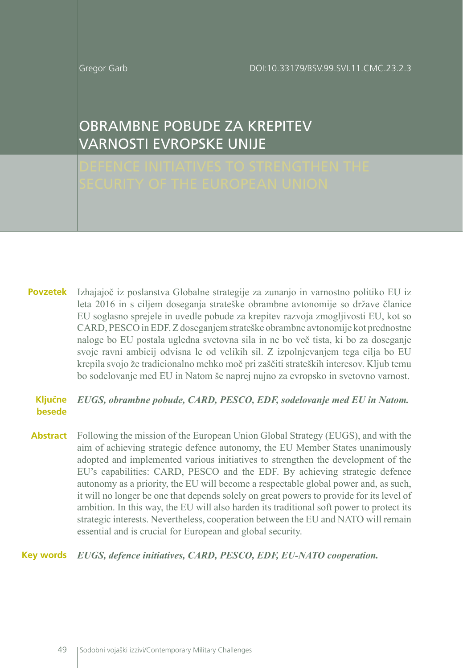DOI:10.33179/BSV.99.SVI.11.CMC.23.2.3

Gregor Garb

# OBRAMBNE POBUDE ZA KREPITEV VARNOSTI EVROPSKE UNIJE

Izhajajoč iz poslanstva Globalne strategije za zunanjo in varnostno politiko EU iz **Povzetek** leta 2016 in s ciljem doseganja strateške obrambne avtonomije so države članice EU soglasno sprejele in uvedle pobude za krepitev razvoja zmogljivosti EU, kot so CARD, PESCO in EDF. Z doseganjem strateške obrambne avtonomije kot prednostne naloge bo EU postala ugledna svetovna sila in ne bo več tista, ki bo za doseganje svoje ravni ambicij odvisna le od velikih sil. Z izpolnjevanjem tega cilja bo EU krepila svojo že tradicionalno mehko moč pri zaščiti strateških interesov. Kljub temu bo sodelovanje med EU in Natom še naprej nujno za evropsko in svetovno varnost.

#### *EUGS, obrambne pobude, CARD, PESCO, EDF, sodelovanje med EU in Natom.* **Ključne besede**

Following the mission of the European Union Global Strategy (EUGS), and with the aim of achieving strategic defence autonomy, the EU Member States unanimously adopted and implemented various initiatives to strengthen the development of the EU's capabilities: CARD, PESCO and the EDF. By achieving strategic defence autonomy as a priority, the EU will become a respectable global power and, as such, it will no longer be one that depends solely on great powers to provide for its level of ambition. In this way, the EU will also harden its traditional soft power to protect its strategic interests. Nevertheless, cooperation between the EU and NATO will remain essential and is crucial for European and global security. **Abstract**

## *EUGS, defence initiatives, CARD, PESCO, EDF, EU-NATO cooperation.* **Key words**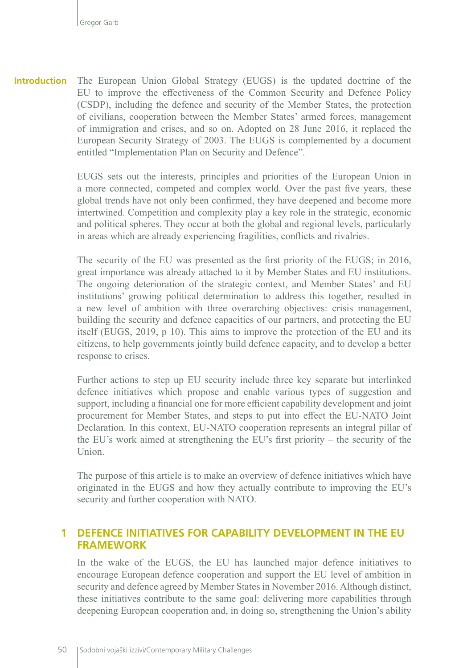The European Union Global Strategy (EUGS) is the updated doctrine of the EU to improve the effectiveness of the Common Security and Defence Policy (CSDP), including the defence and security of the Member States, the protection of civilians, cooperation between the Member States' armed forces, management of immigration and crises, and so on. Adopted on 28 June 2016, it replaced the European Security Strategy of 2003. The EUGS is complemented by a document entitled "Implementation Plan on Security and Defence". **Introduction**

> EUGS sets out the interests, principles and priorities of the European Union in a more connected, competed and complex world. Over the past five years, these global trends have not only been confirmed, they have deepened and become more intertwined. Competition and complexity play a key role in the strategic, economic and political spheres. They occur at both the global and regional levels, particularly in areas which are already experiencing fragilities, conflicts and rivalries.

> The security of the EU was presented as the first priority of the EUGS; in 2016, great importance was already attached to it by Member States and EU institutions. The ongoing deterioration of the strategic context, and Member States' and EU institutions' growing political determination to address this together, resulted in a new level of ambition with three overarching objectives: crisis management, building the security and defence capacities of our partners, and protecting the EU itself (EUGS, 2019, p 10). This aims to improve the protection of the EU and its citizens, to help governments jointly build defence capacity, and to develop a better response to crises.

> Further actions to step up EU security include three key separate but interlinked defence initiatives which propose and enable various types of suggestion and support, including a financial one for more efficient capability development and joint procurement for Member States, and steps to put into effect the [EU-NATO Joint](https://eeas.europa.eu/headquarters/headquarters-Homepage/28286/eu-nato-cooperation-factsheet_en)  [Declaration](https://eeas.europa.eu/headquarters/headquarters-Homepage/28286/eu-nato-cooperation-factsheet_en). In this context, EU-NATO cooperation represents an integral pillar of the EU's work aimed at strengthening the EU's first priority – the security of the Union.

> The purpose of this article is to make an overview of defence initiatives which have originated in the EUGS and how they actually contribute to improving the EU's security and further cooperation with NATO.

### **1 DEFENCE INITIATIVES FOR CAPABILITY DEVELOPMENT IN THE EU FRAMEWORK**

In the wake of the EUGS, the EU has launched major defence initiatives to encourage European defence cooperation and support the EU level of ambition in security and defence agreed by Member States in November 2016. Although distinct, these initiatives contribute to the same goal: delivering more capabilities through deepening European cooperation and, in doing so, strengthening the Union's ability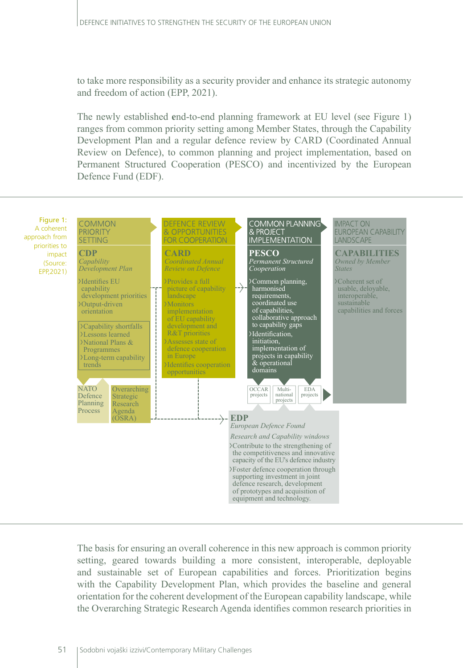to take more responsibility as a security provider and enhance its strategic autonomy and freedom of action (EPP, 2021).

The newly established **e**nd-to-end planning framework at EU level (see Figure 1) ranges from common priority setting among Member States, through the Capability Development Plan and a regular defence review by CARD (Coordinated Annual Review on Defence), to common planning and project implementation, based on Permanent Structured Cooperation (PESCO) and incentivized by the European Defence Fund (EDF).



The basis for ensuring an overall coherence in this new approach is common priority setting, geared towards building a more consistent, interoperable, deployable and sustainable set of European capabilities and forces. Prioritization begins with the Capability Development Plan, which provides the baseline and general orientation for the coherent development of the European capability landscape, while the Overarching Strategic Research Agenda identifies common research priorities in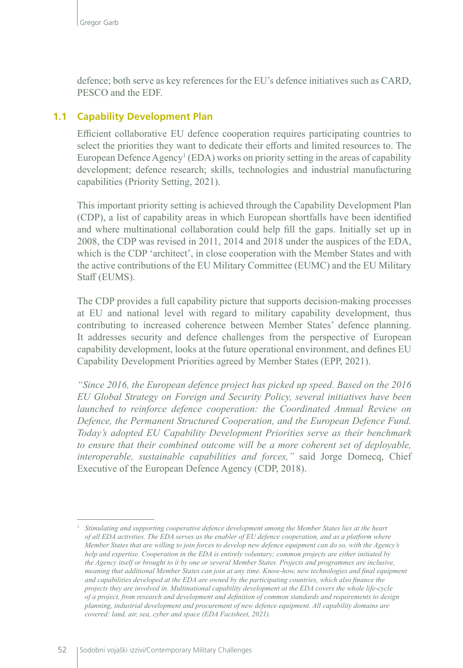defence; both serve as key references for the EU's defence initiatives such as CARD, PESCO and the EDF.

## **1.1 Capability Development Plan**

Efficient collaborative EU defence cooperation requires participating countries to select the priorities they want to dedicate their efforts and limited resources to. The European Defence Agency<sup>1</sup> (EDA) works on priority setting in the areas of capability development; defence research; skills, technologies and industrial manufacturing capabilities (Priority Setting, 2021).

This important priority setting is achieved through the Capability Development Plan (CDP), a list of capability areas in which European shortfalls have been identified and where multinational collaboration could help fill the gaps. Initially set up in 2008, the CDP was revised in 2011, 2014 and 2018 under the auspices of the EDA, which is the CDP 'architect', in close cooperation with the Member States and with the active contributions of the EU Military Committee (EUMC) and the EU Military Staff (EUMS).

The CDP provides a full capability picture that supports decision-making processes at EU and national level with regard to military capability development, thus contributing to increased coherence between Member States' defence planning. It addresses security and defence challenges from the perspective of European capability development, looks at the future operational environment, and defines EU Capability Development Priorities agreed by Member States (EPP, 2021).

*"Since 2016, the European defence project has picked up speed. Based on the 2016 EU Global Strategy on Foreign and Security Policy, several initiatives have been launched to reinforce defence cooperation: the Coordinated Annual Review on Defence, the Permanent Structured Cooperation, and the European Defence Fund. Today's adopted EU Capability Development Priorities serve as their benchmark to ensure that their combined outcome will be a more coherent set of deployable, interoperable, sustainable capabilities and forces,"* said Jorge Domecq, Chief Executive of the European Defence Agency (CDP, 2018).

*<sup>1</sup> Stimulating and supporting cooperative defence development among the Member States lies at the heart of all EDA activities. The EDA serves as the enabler of EU defence cooperation, and as a platform where Member States that are willing to join forces to develop new defence equipment can do so, with the Agency's help and expertise. Cooperation in the EDA is entirely voluntary; common projects are either initiated by the Agency itself or brought to it by one or several Member States. Projects and programmes are inclusive, meaning that additional Member States can join at any time. Know-how, new technologies and final equipment and capabilities developed at the EDA are owned by the participating countries, which also finance the projects they are involved in. Multinational capability development at the EDA covers the whole life-cycle of a project, from [research and development](https://eda.europa.eu/what-we-do/research-technology) and definition of common standards and requirements to design planning, industrial development and procurement of new defence equipment. All capability domains are covered: [land](https://eda.europa.eu/what-we-do/capability-development/land), [air,](https://eda.europa.eu/what-we-do/capability-development/air) [sea,](https://eda.europa.eu/what-we-do/capability-development/sea) [cyber](https://eda.europa.eu/what-we-do/capability-development/cyber) and [space](https://eda.europa.eu/what-we-do/capability-development/space) (EDA Factsheet, 2021).*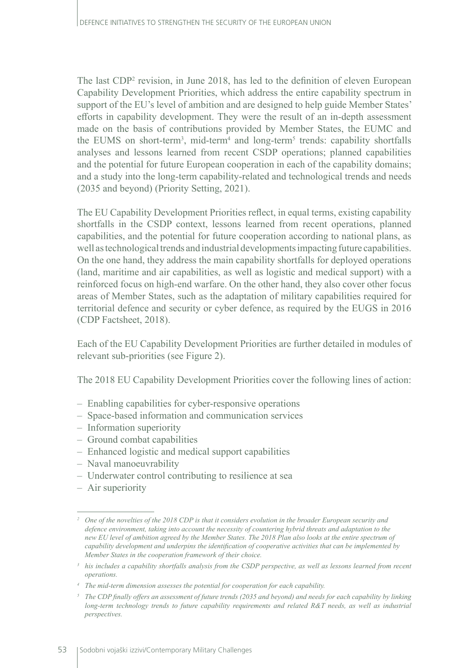The last CDP2 revision, in June 2018, has led to the definition of [eleven European](https://eda.europa.eu/docs/default-source/eda-factsheets/2018-06-28-factsheet_cdpb020b03fa4d264cfa776ff000087ef0f)  [Capability Development Priorities](https://eda.europa.eu/docs/default-source/eda-factsheets/2018-06-28-factsheet_cdpb020b03fa4d264cfa776ff000087ef0f), which address the entire capability spectrum in support of the EU's level of ambition and are designed to help guide Member States' efforts in capability development. They were the result of an in-depth assessment made on the basis of contributions provided by Member States, the EUMC and the EUMS on short-term<sup>3</sup>, mid-term<sup>4</sup> and long-term<sup>5</sup> trends: capability shortfalls analyses and lessons learned from recent CSDP operations; planned capabilities and the potential for future European cooperation in each of the capability domains; and a study into the long-term capability-related and technological trends and needs (2035 and beyond) (Priority Setting, 2021).

The EU Capability Development Priorities reflect, in equal terms, existing capability shortfalls in the CSDP context, lessons learned from recent operations, planned capabilities, and the potential for future cooperation according to national plans, as well as technological trends and industrial developments impacting future capabilities. On the one hand, they address the main capability shortfalls for deployed operations (land, maritime and air capabilities, as well as logistic and medical support) with a reinforced focus on high-end warfare. On the other hand, they also cover other focus areas of Member States, such as the adaptation of military capabilities required for territorial defence and security or cyber defence, as required by the EUGS in 2016 (CDP Factsheet, 2018).

Each of the EU Capability Development Priorities are further detailed in modules of relevant sub-priorities (see Figure 2).

The 2018 EU Capability Development Priorities cover the following lines of action:

- Enabling capabilities for cyber-responsive operations
- Space-based information and communication services
- Information superiority
- Ground combat capabilities
- Enhanced logistic and medical support capabilities
- Naval manoeuvrability
- Underwater control contributing to resilience at sea
- Air superiority

*<sup>2</sup> One of the novelties of the 2018 CDP is that it considers evolution in the broader European security and defence environment, taking into account the necessity of countering hybrid threats and adaptation to the new EU level of ambition agreed by the Member States. The 2018 Plan also looks at the entire spectrum of capability development and underpins the identification of cooperative activities that can be implemented by Member States in the cooperation framework of their choice.*

<sup>&</sup>lt;sup>3</sup> *his includes a capability shortfalls analysis from the CSDP perspective, as well as lessons learned from recent operations.*

*<sup>4</sup> The mid-term dimension assesses the potential for cooperation for each capability.*

*<sup>5</sup> The CDP finally offers an assessment of future trends (2035 and beyond) and needs for each capability by linking long-term technology trends to future capability requirements and related R&T needs, as well as industrial perspectives.*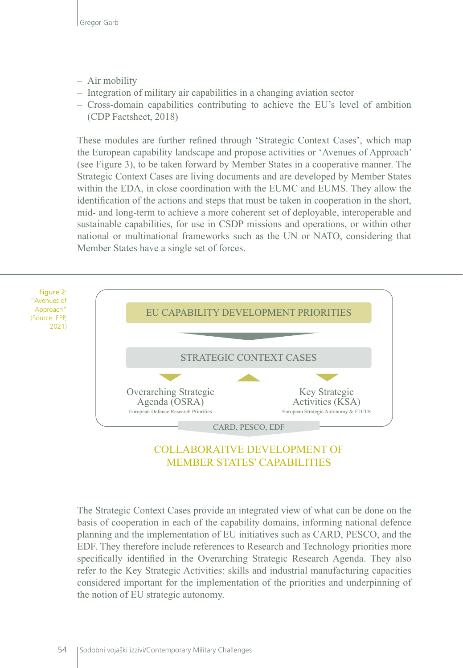- Air mobility
- Integration of military air capabilities in a changing aviation sector
- Cross-domain capabilities contributing to achieve the EU's level of ambition (CDP Factsheet, 2018)

These modules are further refined through 'Strategic Context Cases', which map the European capability landscape and propose activities or 'Avenues of Approach' (see Figure 3), to be taken forward by Member States in a cooperative manner. The Strategic Context Cases are living documents and are developed by Member States within the EDA, in close coordination with the EUMC and EUMS. They allow the identification of the actions and steps that must be taken in cooperation in the short, mid- and long-term to achieve a more coherent set of deployable, interoperable and sustainable capabilities, for use in CSDP missions and operations, or within other national or multinational frameworks such as the UN or NATO, considering that Member States have a single set of forces.



The Strategic Context Cases provide an integrated view of what can be done on the basis of cooperation in each of the capability domains, informing national defence planning and the implementation of EU initiatives such as CARD, PESCO, and the EDF. They therefore include references to Research and Technology priorities more specifically identified in the Overarching Strategic Research Agenda. They also refer to the Key Strategic Activities: skills and industrial manufacturing capacities considered important for the implementation of the priorities and underpinning of the notion of EU strategic autonomy.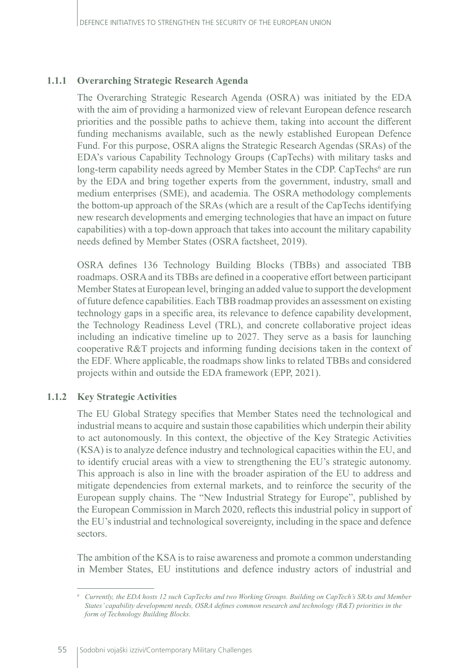#### **1.1.1 Overarching Strategic Research Agenda**

The Overarching Strategic Research Agenda (OSRA) was initiated by the EDA with the aim of providing a harmonized view of relevant European defence research priorities and the possible paths to achieve them, taking into account the different funding mechanisms available, such as the newly established European Defence Fund. For this purpose, OSRA aligns the Strategic Research Agendas (SRAs) of the EDA's various Capability Technology Groups (CapTechs) with military tasks and long-term capability needs agreed by Member States in the CDP. CapTechs<sup>6</sup> are run by the EDA and bring together experts from the government, industry, small and medium enterprises (SME), and academia. The OSRA methodology complements the bottom-up approach of the SRAs (which are a result of the CapTechs identifying new research developments and emerging technologies that have an impact on future capabilities) with a top-down approach that takes into account the military capability needs defined by Member States (OSRA factsheet, 2019).

OSRA defines 136 Technology Building Blocks (TBBs) and associated TBB roadmaps. OSRA and its TBBs are defined in a cooperative effort between participant Member States at European level, bringing an added value to support the development of future defence capabilities. Each TBB roadmap provides an assessment on existing technology gaps in a specific area, its relevance to defence capability development, the Technology Readiness Level (TRL), and concrete collaborative project ideas including an indicative timeline up to 2027. They serve as a basis for launching cooperative R&T projects and informing funding decisions taken in the context of the EDF. Where applicable, the roadmaps show links to related TBBs and considered projects within and outside the EDA framework (EPP, 2021).

### **1.1.2 Key Strategic Activities**

The EU Global Strategy specifies that Member States need the technological and industrial means to acquire and sustain those capabilities which underpin their ability to act autonomously. In this context, the objective of the Key Strategic Activities (KSA) is to analyze defence industry and technological capacities within the EU, and to identify crucial areas with a view to strengthening the EU's strategic autonomy. This approach is also in line with the broader aspiration of the EU to address and mitigate dependencies from external markets, and to reinforce the security of the European supply chains. The "New Industrial Strategy for Europe", published by the European Commission in March 2020, reflects this industrial policy in support of the EU's industrial and technological sovereignty, including in the space and defence sectors.

The ambition of the KSA is to raise awareness and promote a common understanding in Member States, EU institutions and defence industry actors of industrial and

*<sup>6</sup> Currently, the EDA hosts 12 such CapTechs and two Working Groups. Building on CapTech's SRAs and Member States' capability development needs, OSRA defines common research and technology (R&T) priorities in the form of Technology Building Blocks.*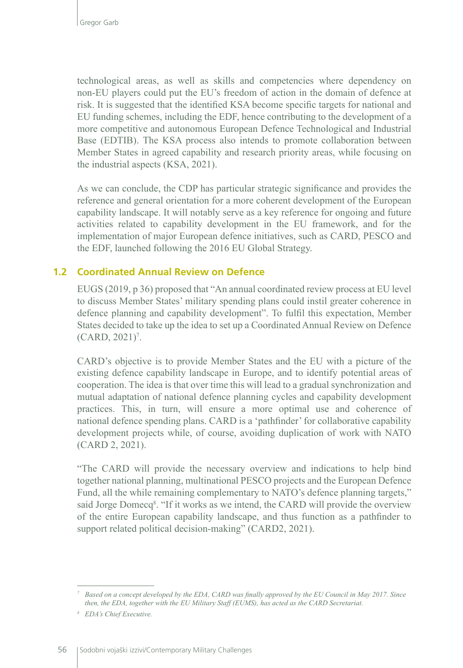technological areas, as well as skills and competencies where dependency on non-EU players could put the EU's freedom of action in the domain of defence at risk. It is suggested that the identified KSA become specific targets for national and EU funding schemes, including the EDF, hence contributing to the development of a more competitive and autonomous European Defence Technological and Industrial Base (EDTIB). The KSA process also intends to promote collaboration between Member States in agreed capability and research priority areas, while focusing on the industrial aspects (KSA, 2021).

As we can conclude, the CDP has particular strategic significance and provides the reference and general orientation for a more coherent development of the European capability landscape. It will notably serve as a key reference for ongoing and future activities related to capability development in the EU framework, and for the implementation of major European defence initiatives, such as CARD, PESCO and the EDF, launched following the 2016 EU Global Strategy.

### **1.2 Coordinated Annual Review on Defence**

EUGS (2019, p 36) proposed that "An annual coordinated review process at EU level to discuss Member States' military spending plans could instil greater coherence in defence planning and capability development". To fulfil this expectation, Member States decided to take up the idea to set up a Coordinated Annual Review on Defence  $(CARD, 2021)^7$ .

CARD's objective is to provide Member States and the EU with a picture of the existing defence capability landscape in Europe, and to identify potential areas of cooperation. The idea is that over time this will lead to a gradual synchronization and mutual adaptation of national defence planning cycles and capability development practices. This, in turn, will ensure a more optimal use and coherence of national defence spending plans. CARD is a 'pathfinder' for collaborative capability development projects while, of course, avoiding duplication of work with NATO (CARD 2, 2021).

"The CARD will provide the necessary overview and indications to help bind together national planning, multinational PESCO projects and the European Defence Fund, all the while remaining complementary to NATO's defence planning targets," said Jorge Domecq<sup>8</sup>. "If it works as we intend, the CARD will provide the overview of the entire European capability landscape, and thus function as a pathfinder to support related political decision-making" (CARD2, 2021).

*<sup>7</sup> Based on a concept developed by the EDA, CARD was finally approved by the EU Council in May 2017. Since then, the EDA, together with the EU Military Staff (EUMS), has acted as the CARD Secretariat.*

*<sup>8</sup> EDA's Chief Executive.*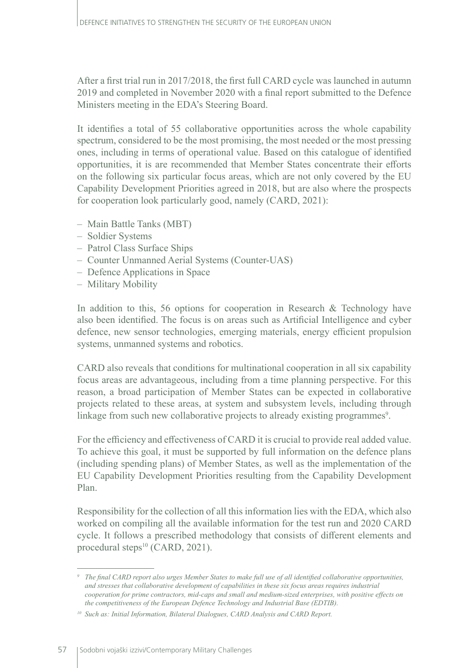After a first trial run in 2017/2018, the first full CARD cycle was launched in autumn 2019 and completed in November 2020 with a final report submitted to the Defence Ministers meeting in the EDA's Steering Board.

It identifies a total of 55 collaborative opportunities across the whole capability spectrum, considered to be the most promising, the most needed or the most pressing ones, including in terms of operational value. Based on this catalogue of identified opportunities, it is are recommended that Member States concentrate their efforts on the following six particular focus areas, which are not only covered by the EU Capability Development Priorities agreed in 2018, but are also where the prospects for cooperation look particularly good, namely (CARD, 2021):

- Main Battle Tanks (MBT)
- Soldier Systems
- Patrol Class Surface Ships
- Counter Unmanned Aerial Systems (Counter-UAS)
- Defence Applications in Space
- Military Mobility

In addition to this, 56 options for cooperation in Research & Technology have also been identified. The focus is on areas such as Artificial Intelligence and cyber defence, new sensor technologies, emerging materials, energy efficient propulsion systems, unmanned systems and robotics.

CARD also reveals that conditions for multinational cooperation in all six capability focus areas are advantageous, including from a time planning perspective. For this reason, a broad participation of Member States can be expected in collaborative projects related to these areas, at system and subsystem levels, including through linkage from such new collaborative projects to already existing programmes<sup>9</sup>.

For the efficiency and effectiveness of CARD it is crucial to provide real added value. To achieve this goal, it must be supported by full information on the defence plans (including spending plans) of Member States, as well as the implementation of the EU Capability Development Priorities resulting from the Capability Development Plan.

Responsibility for the collection of all this information lies with the EDA, which also worked on compiling all the available information for the test run and 2020 CARD cycle. It follows a prescribed methodology that consists of different elements and procedural steps<sup>10</sup> (CARD, 2021).

*<sup>9</sup> The final CARD report also urges Member States to make full use of all identified collaborative opportunities, and stresses that collaborative development of capabilities in these six focus areas requires industrial cooperation for prime contractors, mid-caps and small and medium-sized enterprises, with positive effects on the competitiveness of the European Defence Technology and Industrial Base (EDTIB).*

*<sup>10</sup> Such as: Initial Information, Bilateral Dialogues, CARD Analysis and CARD Report.*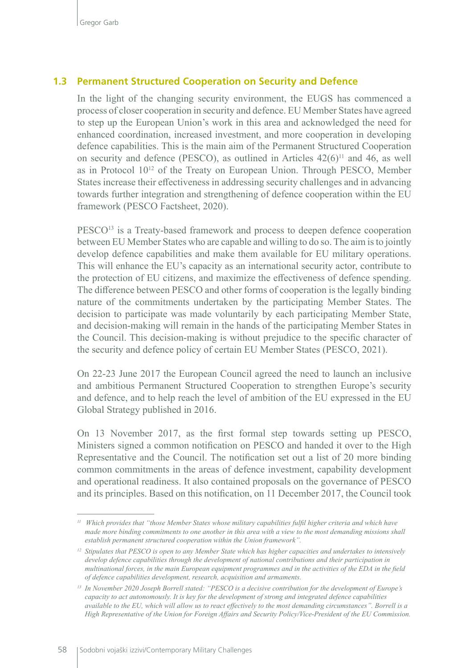#### **1.3 Permanent Structured Cooperation on Security and Defence**

In the light of the changing security environment, the EUGS has commenced a process of closer cooperation in security and defence. EU Member States have agreed to step up the European Union's work in this area and acknowledged the need for enhanced coordination, increased investment, and more cooperation in developing defence capabilities. This is the main aim of the Permanent Structured Cooperation on security and defence (PESCO), as outlined in Articles  $42(6)^{11}$  and 46, as well as in Protocol 1012 of the Treaty on European Union. Through PESCO, Member States increase their effectiveness in addressing security challenges and in advancing towards further integration and strengthening of defence cooperation within the EU framework (PESCO Factsheet, 2020).

PESCO13 is a Treaty-based framework and process to deepen defence cooperation between EU Member States who are capable and willing to do so. The aim is to jointly develop defence capabilities and make them available for EU military operations. This will enhance the EU's capacity as an international security actor, contribute to the protection of EU citizens, and maximize the effectiveness of defence spending. The difference between PESCO and other forms of cooperation is the legally binding nature of the commitments undertaken by the participating Member States. The decision to participate was made voluntarily by each participating Member State, and decision-making will remain in the hands of the participating Member States in the Council. This decision-making is without prejudice to the specific character of the security and defence policy of certain EU Member States (PESCO, 2021).

On 22-23 June 2017 the [European Council](http://www.consilium.europa.eu/media/23985/22-23-euco-final-conclusions.pdf) agreed the need to launch an inclusive and ambitious Permanent Structured Cooperation to strengthen Europe's security and defence, and to help reach the level of ambition of the EU expressed in the EU Global Strategy published in 2016.

On 13 November 2017, as the first formal step towards setting up PESCO, Ministers signed a common notification on PESCO and handed it over to the High Representative and the Council. The notification set out a list of 20 more binding common commitments in the areas of defence investment, capability development and operational readiness. It also contained proposals on the governance of PESCO and its principles. Based on this notification, on 11 December 2017, the Council took

*<sup>11</sup> Which provides that "those Member States whose military capabilities fulfil higher criteria and which have made more binding commitments to one another in this area with a view to the most demanding missions shall establish permanent structured cooperation within the Union framework".*

*<sup>12</sup> Stipulates that PESCO is open to any Member State which has higher capacities and undertakes to intensively develop defence capabilities through the development of national contributions and their participation in multinational forces, in the main European equipment programmes and in the activities of the EDA in the field of defence capabilities development, research, acquisition and armaments.*

*<sup>13</sup> In November 2020 Joseph Borrell stated: "PESCO is a decisive contribution for the development of Europe's capacity to act autonomously. It is key for the development of strong and integrated defence capabilities available to the EU, which will allow us to react effectively to the most demanding circumstances". Borrell is a High Representative of the Union for Foreign Affairs and Security Policy/Vice-President of the EU Commission.*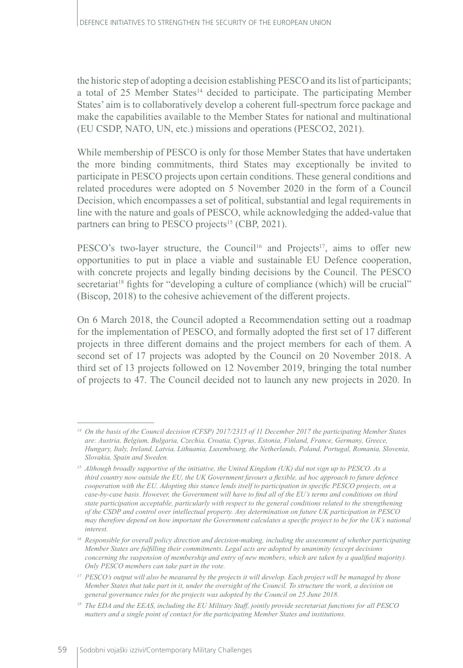the historic step of adopting a decision establishing PESCO and its list of participants; a total of 25 Member States<sup>14</sup> decided to participate. The participating Member States' aim is to collaboratively develop a coherent full-spectrum force package and make the capabilities available to the Member States for national and multinational (EU CSDP, NATO, UN, etc.) missions and operations (PESCO2, 2021).

While membership of PESCO is only for those Member States that have undertaken the more binding commitments, third States may exceptionally be invited to participate in PESCO projects upon certain conditions. These general conditions and related procedures were adopted on 5 November 2020 in the form of a Council Decision, which encompasses a set of political, substantial and legal requirements in line with the nature and goals of PESCO, while acknowledging the added-value that partners can bring to PESCO projects<sup>15</sup> (CBP, 2021).

PESCO's two-layer structure, the Council<sup>16</sup> and Projects<sup>17</sup>, aims to offer new opportunities to put in place a viable and sustainable EU Defence cooperation, with concrete projects and legally binding decisions by the Council. The PESCO secretariat<sup>18</sup> fights for "developing a culture of compliance (which) will be crucial" (Biscop, 2018) to the cohesive achievement of the different projects.

On 6 March 2018, the Council adopted a Recommendation setting out a roadmap for the implementation of PESCO, and formally adopted the first set of 17 different projects in three different domains and the project members for each of them. A second set of 17 projects was adopted by the Council on 20 November 2018. A third set of 13 projects followed on 12 November 2019, bringing the total number of projects to 47. The Council decided not to launch any new projects in 2020. In

*<sup>14</sup> On the basis of the [Council decision \(CFSP\) 2017/2315 of 11 December 2017](https://eur-lex.europa.eu/legal-content/EN/TXT/PDF/?uri=CELEX:32017D2315&from=EN) the participating Member States are: Austria, Belgium, Bulgaria, Czechia, Croatia, Cyprus, Estonia, Finland, France, Germany, Greece, Hungary, Italy, Ireland, Latvia, Lithuania, Luxembourg, the Netherlands, Poland, Portugal, Romania, Slovenia, Slovakia, Spain and Sweden.*

*<sup>15</sup> Although broadly supportive of the initiative, the United Kingdom (UK) did not sign up to PESCO. As a third country now outside the EU, the UK Government favours a flexible, ad hoc approach to future defence cooperation with the EU. Adopting this stance lends itself to participation in specific PESCO projects, on a case-by-case basis. However, the Government will have to find all of the EU's terms and conditions on third state participation acceptable, particularly with respect to the general conditions related to the strengthening of the CSDP and control over intellectual property. Any determination on future UK participation in PESCO may therefore depend on how important the Government calculates a specific project to be for the UK's national interest.*

*<sup>16</sup> Responsible for overall policy direction and decision-making, including the assessment of whether participating Member States are fulfilling their commitments. Legal acts are adopted by unanimity (except decisions concerning the suspension of membership and entry of new members, which are taken by a qualified majority). Only PESCO members can take part in the vote.*

*<sup>17</sup> PESCO's output will also be measured by the projects it will develop. Each project will be managed by those Member States that take part in it, under the oversight of the Council. To structure the work, a decision on general governance rules for the projects was adopted by the Council on 25 June 2018.*

*<sup>18</sup> The EDA and the EEAS, including the EU Military Staff, jointly provide secretariat functions for all PESCO matters and a single point of contact for the participating Member States and institutions.*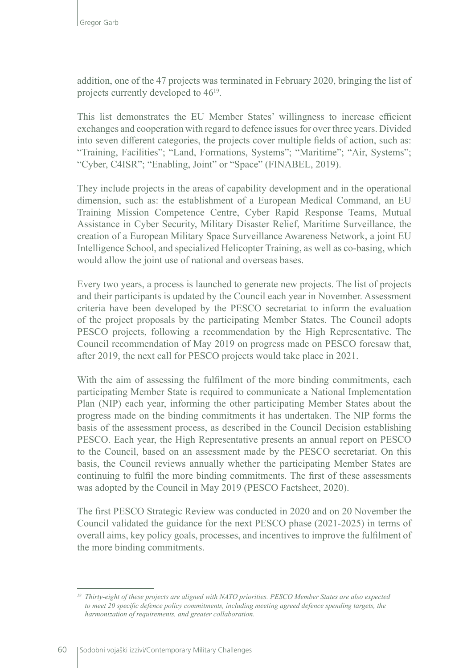addition, one of the 47 projects was terminated in February 2020, bringing the list of projects currently developed to 4619.

This list demonstrates the EU Member States' willingness to increase efficient exchanges and cooperation with regard to defence issues for over three years. Divided into seven different categories, the projects cover multiple fields of action, such as: "Training, Facilities"; "Land, Formations, Systems"; "Maritime"; "Air, Systems"; "Cyber, C4ISR"; "Enabling, Joint" or "Space" (FINABEL, 2019).

They include projects in the areas of capability development and in the operational dimension, such as: the establishment of a European Medical Command, an EU Training Mission Competence Centre, Cyber Rapid Response Teams, Mutual Assistance in Cyber Security, Military Disaster Relief, Maritime Surveillance, the creation of a European Military Space Surveillance Awareness Network, a joint EU Intelligence School, and specialized Helicopter Training, as well as co-basing, which would allow the joint use of national and overseas bases.

Every two years, a process is launched to generate new projects. The list of projects and their participants is updated by the Council each year in November. Assessment criteria have been developed by the PESCO secretariat to inform the evaluation of the project proposals by the participating Member States. The Council adopts PESCO projects, following a recommendation by the High Representative. The Council recommendation of May 2019 on progress made on PESCO foresaw that, after 2019, the next call for PESCO projects would take place in 2021.

With the aim of assessing the fulfilment of the more binding commitments, each participating Member State is required to communicate a National Implementation Plan (NIP) each year, informing the other participating Member States about the progress made on the binding commitments it has undertaken. The NIP forms the basis of the assessment process, as described in the Council Decision establishing PESCO. Each year, the High Representative presents an annual report on PESCO to the Council, based on an assessment made by the PESCO secretariat. On this basis, the Council reviews annually whether the participating Member States are continuing to fulfil the more binding commitments. The first of these assessments was adopted by the Council in May 2019 (PESCO Factsheet, 2020).

The first PESCO Strategic Review was conducted in 2020 and on 20 November the Council validated the guidance for the next PESCO phase (2021-2025) in terms of overall aims, key policy goals, processes, and incentives to improve the fulfilment of the more binding commitments.

*<sup>19</sup> Thirty-eight of these projects are aligned with NATO priorities. PESCO Member States are also expected to meet 20 specific defence policy commitments, including meeting agreed defence spending targets, the harmonization of requirements, and greater collaboration.*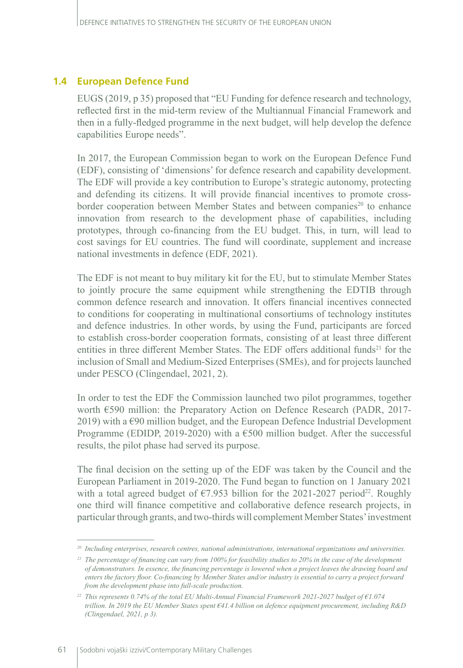### **1.4 European Defence Fund**

EUGS (2019, p 35) proposed that "EU Funding for defence research and technology, reflected first in the mid-term review of the Multiannual Financial Framework and then in a fully-fledged programme in the next budget, will help develop the defence capabilities Europe needs".

In 2017, the European Commission began to work on the European Defence Fund (EDF), consisting of 'dimensions' for defence research and capability development. The EDF will provide a key contribution to Europe's strategic autonomy, protecting and defending its citizens. It will provide financial incentives to promote crossborder cooperation between Member States and between companies<sup>20</sup> to enhance innovation from research to the development phase of capabilities, including prototypes, through co-financing from the EU budget. This, in turn, will lead to cost savings for EU countries. The fund will coordinate, supplement and increase national investments in defence (EDF, 2021).

The EDF is not meant to buy military kit for the EU, but to stimulate Member States to jointly procure the same equipment while strengthening the EDTIB through common defence research and innovation. It offers financial incentives connected to conditions for cooperating in multinational consortiums of technology institutes and defence industries. In other words, by using the Fund, participants are forced to establish cross-border cooperation formats, consisting of at least three different entities in three different Member States. The EDF offers additional funds<sup>21</sup> for the inclusion of Small and Medium-Sized Enterprises (SMEs), and for projects launched under PESCO (Clingendael, 2021, 2).

In order to test the EDF the Commission launched two pilot programmes, together worth €590 million: the Preparatory Action on Defence Research (PADR, 2017- 2019) with a  $\epsilon$ 90 million budget, and the European Defence Industrial Development Programme (EDIDP, 2019-2020) with a €500 million budget. After the successful results, the pilot phase had served its purpose.

The final decision on the setting up of the EDF was taken by the Council and the European Parliament in 2019-2020. The Fund began to function on 1 January 2021 with a total agreed budget of  $\epsilon$ 7.953 billion for the 2021-2027 period<sup>22</sup>. Roughly one third will finance competitive and collaborative defence research projects, in particular through grants, and two-thirds will complement Member States' investment

*<sup>20</sup> Including enterprises, research centres, national administrations, international organizations and universities.*

*<sup>21</sup> The percentage of financing can vary from 100% for feasibility studies to 20% in the case of the development of demonstrators. In essence, the financing percentage is lowered when a project leaves the drawing board and enters the factory floor. Co-financing by Member States and/or industry is essential to carry a project forward from the development phase into full-scale production.* 

*<sup>22</sup> This represents 0.74% of the total EU Multi-Annual Financial Framework 2021-2027 budget of €1.074 trillion. In 2019 the EU Member States spent €41.4 billion on defence equipment procurement, including R&D (Clingendael, 2021, p 3).*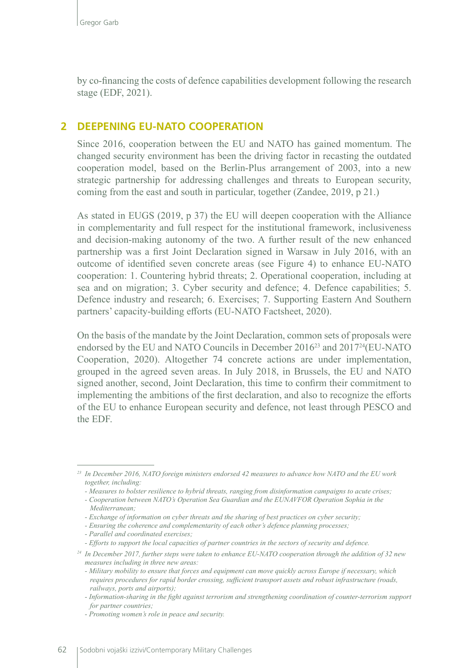by co-financing the costs of defence capabilities development following the research stage (EDF, 2021).

#### **2 DEEPENING EU-NATO COOPERATION**

Since 2016, cooperation between the EU and NATO has gained momentum. The changed security environment has been the driving factor in recasting the outdated cooperation model, based on the Berlin-Plus arrangement of 2003, into a new strategic partnership for addressing challenges and threats to European security, coming from the east and south in particular, together (Zandee, 2019, p 21.)

As stated in EUGS (2019, p 37) the EU will deepen cooperation with the Alliance in complementarity and full respect for the institutional framework, inclusiveness and decision-making autonomy of the two. A further result of the new enhanced partnership was a first Joint Declaration signed in Warsaw in July 2016, with an outcome of identified seven concrete areas (see Figure 4) to enhance EU-NATO cooperation: 1. Countering hybrid threats; 2. Operational cooperation, including at sea and on migration; 3. Cyber security and defence; 4. Defence capabilities; 5. Defence industry and research; 6. Exercises; 7. Supporting Eastern And Southern partners' capacity-building efforts (EU-NATO Factsheet, 2020).

On the basis of the mandate by the Joint Declaration, common sets of proposals were endorsed by the EU and NATO Councils in December 201623 and 201724(EU-NATO Cooperation, 2020). Altogether 74 concrete actions are under implementation, grouped in the agreed seven areas. In July 2018, in Brussels, the EU and NATO signed another, second, Joint Declaration, this time to confirm their commitment to implementing the ambitions of the first declaration, and also to recognize the efforts of the EU to enhance European security and defence, not least through PESCO and the EDF.

*<sup>23</sup> In December 2016, NATO foreign ministers endorsed 42 measures to advance how NATO and the EU work together, including:*

*<sup>-</sup> Measures to bolster resilience to hybrid threats, ranging from disinformation campaigns to acute crises;*

*<sup>-</sup> Cooperation between NATO's Operation Sea Guardian and the EUNAVFOR Operation Sophia in the Mediterranean;*

*<sup>-</sup> Exchange of information on cyber threats and the sharing of best practices on cyber security;*

*<sup>-</sup> Ensuring the coherence and complementarity of each other's defence planning processes;*

*<sup>-</sup> Parallel and coordinated exercises;*

*<sup>-</sup> Efforts to support the local capacities of partner countries in the sectors of security and defence.*

*<sup>24</sup> In December 2017, further steps were taken to enhance EU-NATO cooperation through the addition of 32 new measures including in three new areas:*

*<sup>-</sup> Military mobility to ensure that forces and equipment can move quickly across Europe if necessary, which requires procedures for rapid border crossing, sufficient transport assets and robust infrastructure (roads, railways, ports and airports);*

*<sup>-</sup> Information-sharing in the fight against terrorism and strengthening coordination of counter-terrorism support for partner countries;*

*<sup>-</sup> Promoting women's role in peace and security.*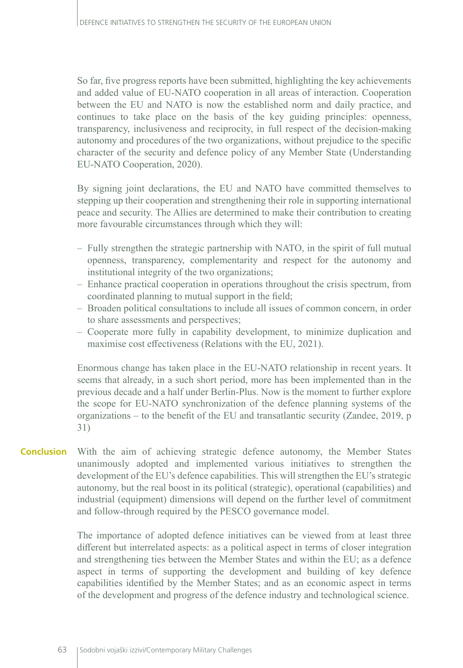So far, five progress reports have been submitted, highlighting the key achievements and added value of EU-NATO cooperation in all areas of interaction. Cooperation between the EU and NATO is now the established norm and daily practice, and continues to take place on the basis of the key guiding principles: openness, transparency, inclusiveness and reciprocity, in full respect of the decision-making autonomy and procedures of the two organizations, without prejudice to the specific character of the security and defence policy of any Member State (Understanding EU-NATO Cooperation, 2020).

By signing joint declarations, the EU and NATO have committed themselves to stepping up their cooperation and strengthening their role in supporting international peace and security. The Allies are determined to make their contribution to creating more favourable circumstances through which they will:

- Fully strengthen the strategic partnership with NATO, in the spirit of full mutual openness, transparency, complementarity and respect for the autonomy and institutional integrity of the two organizations;
- Enhance practical cooperation in operations throughout the crisis spectrum, from coordinated planning to mutual support in the field;
- Broaden political consultations to include all issues of common concern, in order to share assessments and perspectives;
- Cooperate more fully in capability development, to minimize duplication and maximise cost effectiveness (Relations with the EU, 2021).

Enormous change has taken place in the EU-NATO relationship in recent years. It seems that already, in a such short period, more has been implemented than in the previous decade and a half under Berlin-Plus. Now is the moment to further explore the scope for EU-NATO synchronization of the defence planning systems of the organizations – to the benefit of the EU and transatlantic security (Zandee, 2019, p 31)

With the aim of achieving strategic defence autonomy, the Member States unanimously adopted and implemented various initiatives to strengthen the development of the EU's defence capabilities. This will strengthen the EU's strategic autonomy, but the real boost in its political (strategic), operational (capabilities) and industrial (equipment) dimensions will depend on the further level of commitment and follow-through required by the PESCO governance model. **Conclusion**

> The importance of adopted defence initiatives can be viewed from at least three different but interrelated aspects: as a political aspect in terms of closer integration and strengthening ties between the Member States and within the EU; as a defence aspect in terms of supporting the development and building of key defence capabilities identified by the Member States; and as an economic aspect in terms of the development and progress of the defence industry and technological science.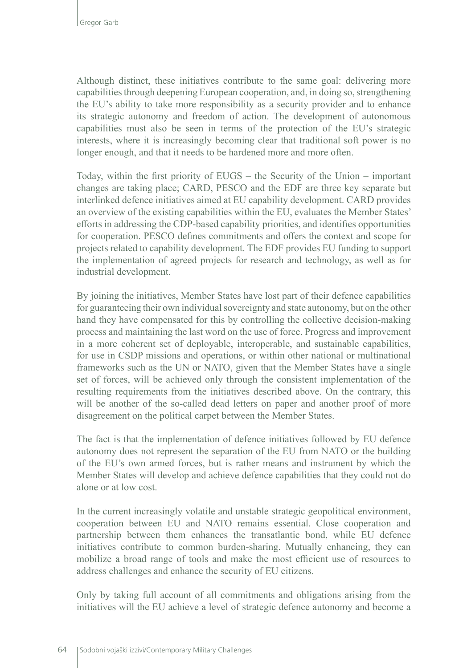Although distinct, these initiatives contribute to the same goal: delivering more capabilities through deepening European cooperation, and, in doing so, strengthening the EU's ability to take more responsibility as a security provider and to enhance its strategic autonomy and freedom of action. The development of autonomous capabilities must also be seen in terms of the protection of the EU's strategic interests, where it is increasingly becoming clear that traditional soft power is no longer enough, and that it needs to be hardened more and more often.

Today, within the first priority of EUGS – the Security of the Union – important changes are taking place; CARD, PESCO and the EDF are three key separate but interlinked defence initiatives aimed at EU capability development. CARD provides an overview of the existing capabilities within the EU, evaluates the Member States' efforts in addressing the CDP-based capability priorities, and identifies opportunities for cooperation. PESCO defines commitments and offers the context and scope for projects related to capability development. The EDF provides EU funding to support the implementation of agreed projects for research and technology, as well as for industrial development.

By joining the initiatives, Member States have lost part of their defence capabilities for guaranteeing their own individual sovereignty and state autonomy, but on the other hand they have compensated for this by controlling the collective decision-making process and maintaining the last word on the use of force. Progress and improvement in a more coherent set of deployable, interoperable, and sustainable capabilities, for use in CSDP missions and operations, or within other national or multinational frameworks such as the UN or NATO, given that the Member States have a single set of forces, will be achieved only through the consistent implementation of the resulting requirements from the initiatives described above. On the contrary, this will be another of the so-called dead letters on paper and another proof of more disagreement on the political carpet between the Member States.

The fact is that the implementation of defence initiatives followed by EU defence autonomy does not represent the separation of the EU from NATO or the building of the EU's own armed forces, but is rather means and instrument by which the Member States will develop and achieve defence capabilities that they could not do alone or at low cost.

In the current increasingly volatile and unstable strategic geopolitical environment, cooperation between EU and NATO remains essential. Close cooperation and partnership between them enhances the transatlantic bond, while EU defence initiatives contribute to common burden-sharing. Mutually enhancing, they can mobilize a broad range of tools and make the most efficient use of resources to address challenges and enhance the security of EU citizens.

Only by taking full account of all commitments and obligations arising from the initiatives will the EU achieve a level of strategic defence autonomy and become a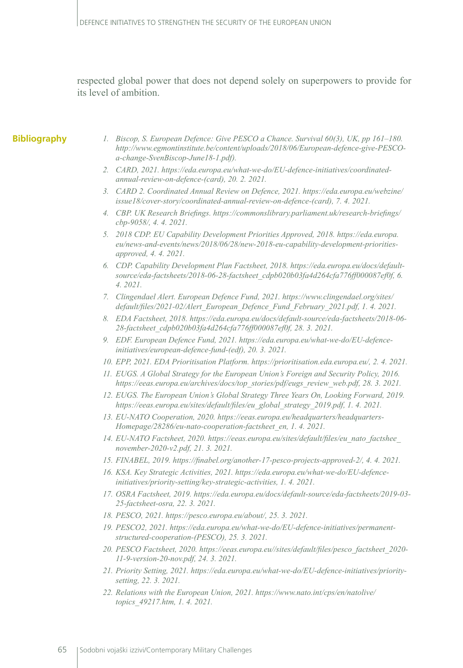respected global power that does not depend solely on superpowers to provide for its level of ambition.

#### **Bibliography**

- *1. Biscop, S. European Defence: Give PESCO a Chance. Survival 60(3), UK, pp 161–180. [http://www.egmontinstitute.be/content/uploads/2018/06/European-defence-give-PESCO](http://www.egmontinstitute.be/content/uploads/2018/06/European-defence-give-PESCO-a-change-SvenBiscop-June18-1.pdf)[a-change-SvenBiscop-June18-1.pdf\)](http://www.egmontinstitute.be/content/uploads/2018/06/European-defence-give-PESCO-a-change-SvenBiscop-June18-1.pdf).*
- *2. CARD, 2021. [https://eda.europa.eu/what-we-do/EU-defence-initiatives/coordinated](https://eda.europa.eu/what-we-do/EU-defence-initiatives/coordinated-annual-review-on-defence-(card))[annual-review-on-defence-\(card\),](https://eda.europa.eu/what-we-do/EU-defence-initiatives/coordinated-annual-review-on-defence-(card)) 20. 2. 2021.*
- *3. CARD 2. Coordinated Annual Review on Defence, 2021. [https://eda.europa.eu/webzine/](https://eda.europa.eu/webzine/issue18/cover-story/coordinated-annual-review-on-defence-(card)) [issue18/cover-story/coordinated-annual-review-on-defence-\(card\),](https://eda.europa.eu/webzine/issue18/cover-story/coordinated-annual-review-on-defence-(card)) 7. 4. 2021.*
- *4. CBP. UK Research Briefings. [https://commonslibrary.parliament.uk/research-briefings/](https://commonslibrary.parliament.uk/research-briefings/cbp-9058/) [cbp-9058/](https://commonslibrary.parliament.uk/research-briefings/cbp-9058/), 4. 4. 2021.*
- *5. 2018 CDP. EU Capability Development Priorities Approved, 2018. [https://eda.europa.](https://eda.europa.eu/news-and-events/news/2018/06/28/new-2018-eu-capability-development-priorities-approved) [eu/news-and-events/news/2018/06/28/new-2018-eu-capability-development-priorities](https://eda.europa.eu/news-and-events/news/2018/06/28/new-2018-eu-capability-development-priorities-approved)[approved](https://eda.europa.eu/news-and-events/news/2018/06/28/new-2018-eu-capability-development-priorities-approved), 4. 4. 2021.*
- *6. CDP. Capability Development Plan Factsheet, 2018. [https://eda.europa.eu/docs/default](https://eda.europa.eu/docs/default-source/eda-factsheets/2018-06-28-factsheet_cdpb020b03fa4d264cfa776ff000087ef0f)[source/eda-factsheets/2018-06-28-factsheet\\_cdpb020b03fa4d264cfa776ff000087ef0f](https://eda.europa.eu/docs/default-source/eda-factsheets/2018-06-28-factsheet_cdpb020b03fa4d264cfa776ff000087ef0f), 6. 4. 2021.*
- *7. Clingendael Alert. European Defence Fund, 2021. [https://www.clingendael.org/sites/](https://www.clingendael.org/sites/default/files/2021-02/Alert_European_Defence_Fund_February_2021.pdf) [default/files/2021-02/Alert\\_European\\_Defence\\_Fund\\_February\\_2021.pdf](https://www.clingendael.org/sites/default/files/2021-02/Alert_European_Defence_Fund_February_2021.pdf), 1. 4. 2021.*
- *8. EDA Factsheet, 2018. [https://eda.europa.eu/docs/default-source/eda-factsheets/2018-06-](https://eda.europa.eu/docs/default-source/eda-factsheets/2018-06-28-factsheet_cdpb020b03fa4d264cfa776ff000087ef0f) [28-factsheet\\_cdpb020b03fa4d264cfa776ff000087ef0f](https://eda.europa.eu/docs/default-source/eda-factsheets/2018-06-28-factsheet_cdpb020b03fa4d264cfa776ff000087ef0f), 28. 3. 2021.*
- *9. EDF. European Defence Fund, 2021. [https://eda.europa.eu/what-we-do/EU-defence](https://eda.europa.eu/what-we-do/EU-defence-initiatives/european-defence-fund-(edf))[initiatives/european-defence-fund-\(edf\),](https://eda.europa.eu/what-we-do/EU-defence-initiatives/european-defence-fund-(edf)) 20. 3. 2021.*
- *10. EPP, 2021. EDA Prioritisation Platform. [https://prioritisation.eda.europa.eu/,](https://prioritisation.eda.europa.eu/) 2. 4. 2021.*
- *11. EUGS. A Global Strategy for the European Union's Foreign and Security Policy, 2016. [https://eeas.europa.eu/archives/docs/top\\_stories/pdf/eugs\\_review\\_web.pdf](https://eeas.europa.eu/archives/docs/top_stories/pdf/eugs_review_web.pdf), 28. 3. 2021.*
- *12. EUGS. The European Union's Global Strategy Three Years On, Looking Forward, 2019. [https://eeas.europa.eu/sites/default/files/eu\\_global\\_strategy\\_2019.pdf](https://eeas.europa.eu/sites/default/files/eu_global_strategy_2019.pdf), 1. 4. 2021.*
- *13. EU-NATO Cooperation, 2020. [https://eeas.europa.eu/headquarters/headquarters-](https://eeas.europa.eu/headquarters/headquarters-Homepage/28286/eu-nato-cooperation-factsheet_en)[Homepage/28286/eu-nato-cooperation-factsheet\\_en](https://eeas.europa.eu/headquarters/headquarters-Homepage/28286/eu-nato-cooperation-factsheet_en), 1. 4. 2021.*
- *14. EU-NATO Factsheet, 2020. [https://eeas.europa.eu/sites/default/files/eu\\_nato\\_factshee\\_](https://eeas.europa.eu/sites/default/files/eu_nato_factshee_november-2020-v2.pdf) [november-2020-v2.pdf](https://eeas.europa.eu/sites/default/files/eu_nato_factshee_november-2020-v2.pdf), 21. 3. 2021.*
- *15. FINABEL, 2019. <https://finabel.org/another-17-pesco-projects-approved-2/>, 4. 4. 2021.*
- *16. KSA. Key Strategic Activities, 2021. [https://eda.europa.eu/what-we-do/EU-defence](https://eda.europa.eu/what-we-do/EU-defence-initiatives/priority-setting/key-strategic-activities)[initiatives/priority-setting/key-strategic-activities,](https://eda.europa.eu/what-we-do/EU-defence-initiatives/priority-setting/key-strategic-activities) 1. 4. 2021.*
- *17. OSRA Factsheet, 2019. [https://eda.europa.eu/docs/default-source/eda-factsheets/2019-03-](https://eda.europa.eu/docs/default-source/eda-factsheets/2019-03-25-factsheet-osra) [25-factsheet-osra,](https://eda.europa.eu/docs/default-source/eda-factsheets/2019-03-25-factsheet-osra) 22. 3. 2021.*
- *18. PESCO, 2021. <https://pesco.europa.eu/about/>, 25. 3. 2021.*
- *19. PESCO2, 2021. [https://eda.europa.eu/what-we-do/EU-defence-initiatives/permanent](https://eda.europa.eu/what-we-do/EU-defence-initiatives/permanent-structured-cooperation-(PESCO))[structured-cooperation-\(PESCO\),](https://eda.europa.eu/what-we-do/EU-defence-initiatives/permanent-structured-cooperation-(PESCO)) 25. 3. 2021.*
- *20. PESCO Factsheet, 2020. [https://eeas.europa.eu//sites/default/files/pesco\\_factsheet\\_2020-](https://eeas.europa.eu//sites/default/files/pesco_factsheet_2020-11-9-version-20-nov.pdf) [11-9-version-20-nov.pdf,](https://eeas.europa.eu//sites/default/files/pesco_factsheet_2020-11-9-version-20-nov.pdf) 24. 3. 2021.*
- *21. Priority Setting, 2021. [https://eda.europa.eu/what-we-do/EU-defence-initiatives/priority](https://eda.europa.eu/what-we-do/EU-defence-initiatives/priority-setting)[setting,](https://eda.europa.eu/what-we-do/EU-defence-initiatives/priority-setting) 22. 3. 2021.*
- *22. Relations with the European Union, 2021. [https://www.nato.int/cps/en/natolive/](https://www.nato.int/cps/en/natolive/topics_49217.htm) [topics\\_49217.htm,](https://www.nato.int/cps/en/natolive/topics_49217.htm) 1. 4. 2021.*